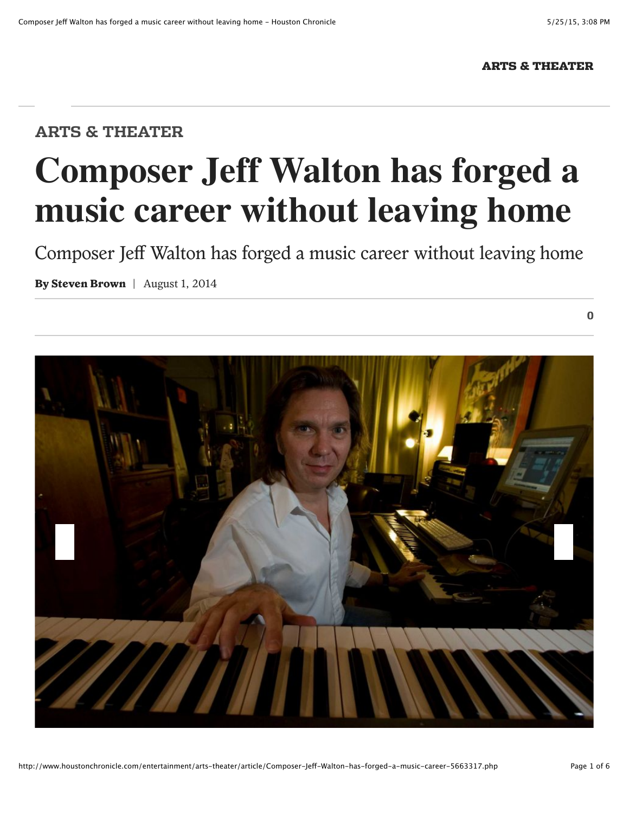$\bf{0}$ 

## ARTS & THEATER

## **ARTS & THEATER**

## **Composer Jeff Walton has forged a music career without leaving home**

Composer Jeff Walton has forged a music career without leaving home

**By Steven Brown** | August 1, 2014

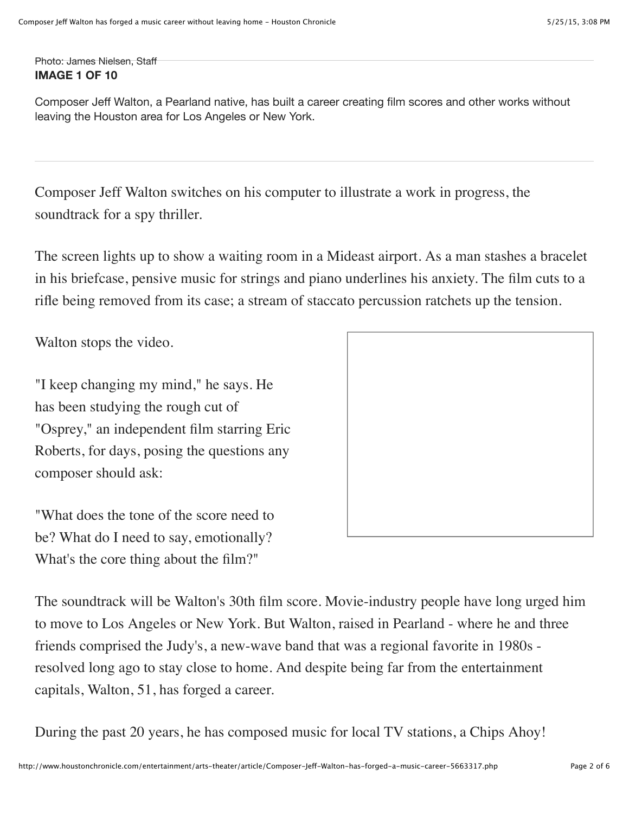Photo: James Nielsen, Staff **IMAGE 1 OF 10**

Composer Jeff Walton, a Pearland native, has built a career creating film scores and other works without leaving the Houston area for Los Angeles or New York.

Composer Jeff Walton switches on his computer to illustrate a work in progress, the soundtrack for a spy thriller.

The screen lights up to show a waiting room in a Mideast airport. As a man stashes a bracelet in his briefcase, pensive music for strings and piano underlines his anxiety. The film cuts to a rifle being removed from its case; a stream of staccato percussion ratchets up the tension.

Walton stops the video.

"I keep changing my mind," he says. He has been studying the rough cut of "Osprey," an independent film starring Eric Roberts, for days, posing the questions any composer should ask:

"What does the tone of the score need to be? What do I need to say, emotionally? What's the core thing about the film?"



The soundtrack will be Walton's 30th film score. Movie-industry people have long urged him to move to Los Angeles or New York. But Walton, raised in Pearland - where he and three friends comprised the Judy's, a new-wave band that was a regional favorite in 1980s resolved long ago to stay close to home. And despite being far from the entertainment capitals, Walton, 51, has forged a career.

During the past 20 years, he has composed music for local TV stations, a Chips Ahoy!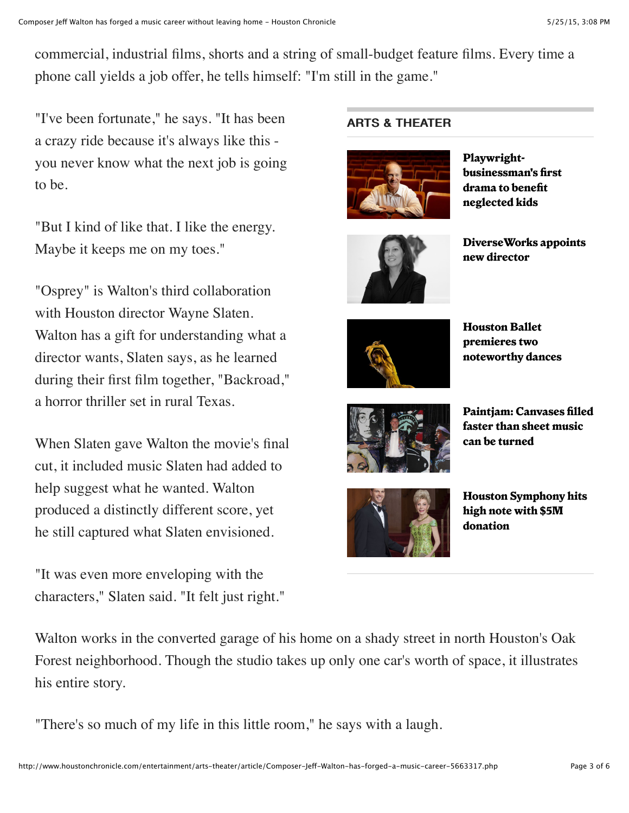commercial, industrial films, shorts and a string of small-budget feature films. Every time a phone call yields a job offer, he tells himself: "I'm still in the game."

"I've been fortunate," he says. "It has been a crazy ride because it's always like this you never know what the next job is going to be.

"But I kind of like that. I like the energy. Maybe it keeps me on my toes."

"Osprey" is Walton's third collaboration with Houston director Wayne Slaten. Walton has a gift for understanding what a director wants, Slaten says, as he learned during their first film together, "Backroad," a horror thriller set in rural Texas.

When Slaten gave Walton the movie's final cut, it included music Slaten had added to help suggest what he wanted. Walton produced a distinctly different score, yet he still captured what Slaten envisioned.

"It was even more enveloping with the characters," Slaten said. "It felt just right."

## **ARTS & THEATER**



**Playwrightbusinessman's first drama to benefit neglected kids**



**DiverseWorks appoints new director**



**Houston Ballet premieres two noteworthy dances**



**Paintjam: Canvases filled faster than sheet music can be turned**



**Houston Symphony hits high note with \$5M donation**

Walton works in the converted garage of his home on a shady street in north Houston's Oak Forest neighborhood. Though the studio takes up only one car's worth of space, it illustrates his entire story.

"There's so much of my life in this little room," he says with a laugh.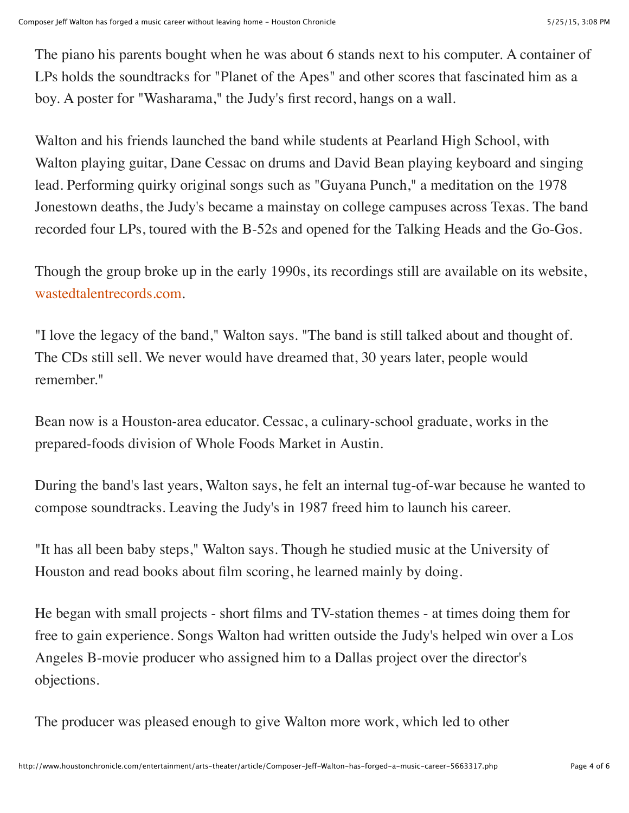The piano his parents bought when he was about 6 stands next to his computer. A container of LPs holds the soundtracks for "Planet of the Apes" and other scores that fascinated him as a boy. A poster for "Washarama," the Judy's first record, hangs on a wall.

Walton and his friends launched the band while students at Pearland High School, with Walton playing guitar, Dane Cessac on drums and David Bean playing keyboard and singing lead. Performing quirky original songs such as "Guyana Punch," a meditation on the 1978 Jonestown deaths, the Judy's became a mainstay on college campuses across Texas. The band recorded four LPs, toured with the B-52s and opened for the Talking Heads and the Go-Gos.

Though the group broke up in the early 1990s, its recordings still are available on its website, wastedtalentrecords.com.

"I love the legacy of the band," Walton says. "The band is still talked about and thought of. The CDs still sell. We never would have dreamed that, 30 years later, people would remember."

Bean now is a Houston-area educator. Cessac, a culinary-school graduate, works in the prepared-foods division of Whole Foods Market in Austin.

During the band's last years, Walton says, he felt an internal tug-of-war because he wanted to compose soundtracks. Leaving the Judy's in 1987 freed him to launch his career.

"It has all been baby steps," Walton says. Though he studied music at the University of Houston and read books about film scoring, he learned mainly by doing.

He began with small projects - short films and TV-station themes - at times doing them for free to gain experience. Songs Walton had written outside the Judy's helped win over a Los Angeles B-movie producer who assigned him to a Dallas project over the director's objections.

The producer was pleased enough to give Walton more work, which led to other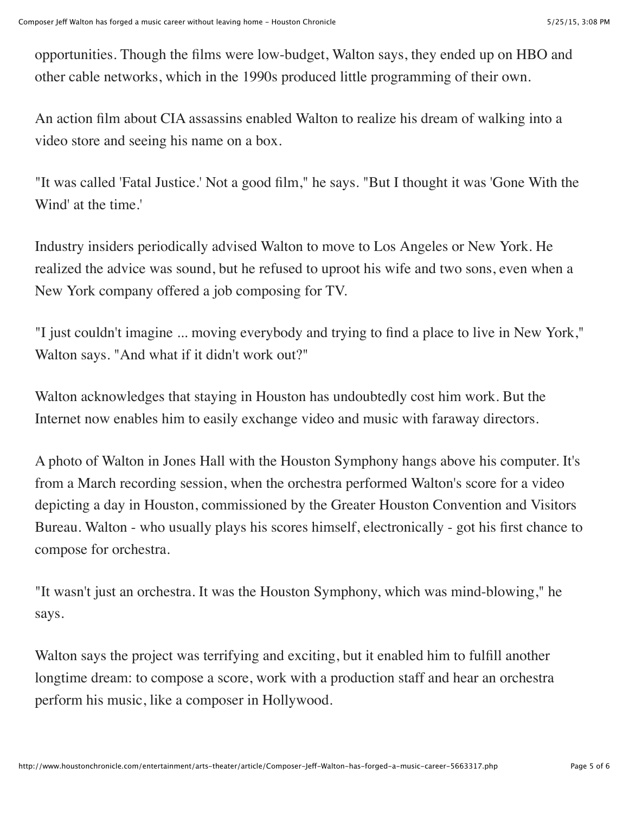opportunities. Though the films were low-budget, Walton says, they ended up on HBO and other cable networks, which in the 1990s produced little programming of their own.

An action film about CIA assassins enabled Walton to realize his dream of walking into a video store and seeing his name on a box.

"It was called 'Fatal Justice.' Not a good film," he says. "But I thought it was 'Gone With the Wind' at the time.'

Industry insiders periodically advised Walton to move to Los Angeles or New York. He realized the advice was sound, but he refused to uproot his wife and two sons, even when a New York company offered a job composing for TV.

"I just couldn't imagine ... moving everybody and trying to find a place to live in New York," Walton says. "And what if it didn't work out?"

Walton acknowledges that staying in Houston has undoubtedly cost him work. But the Internet now enables him to easily exchange video and music with faraway directors.

A photo of Walton in Jones Hall with the Houston Symphony hangs above his computer. It's from a March recording session, when the orchestra performed Walton's score for a video depicting a day in Houston, commissioned by the Greater Houston Convention and Visitors Bureau. Walton - who usually plays his scores himself, electronically - got his first chance to compose for orchestra.

"It wasn't just an orchestra. It was the Houston Symphony, which was mind-blowing," he says.

Walton says the project was terrifying and exciting, but it enabled him to fulfill another longtime dream: to compose a score, work with a production staff and hear an orchestra perform his music, like a composer in Hollywood.